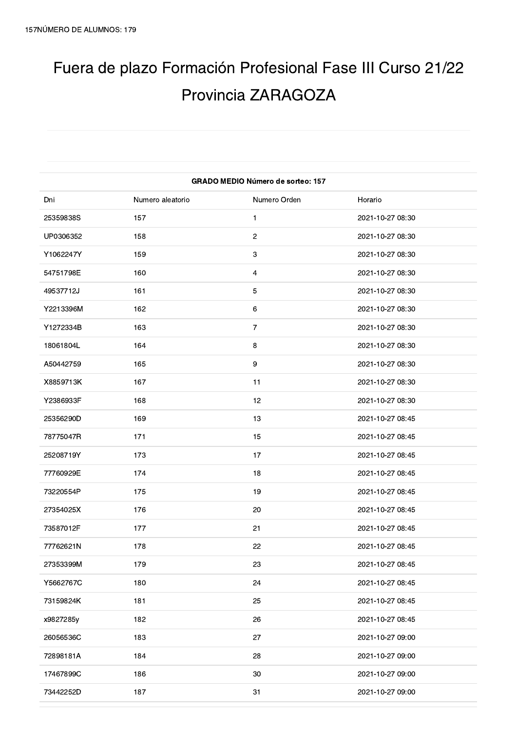## Fuera de plazo Formación Profesional Fase III Curso 21/22 Provincia ZARAGOZA

| <b>GRADO MEDIO Número de sorteo: 157</b> |                  |                         |                  |
|------------------------------------------|------------------|-------------------------|------------------|
| Dni                                      | Numero aleatorio | Numero Orden            | Horario          |
| 25359838S                                | 157              | $\mathbf{1}$            | 2021-10-27 08:30 |
| UP0306352                                | 158              | $\overline{c}$          | 2021-10-27 08:30 |
| Y1062247Y                                | 159              | 3                       | 2021-10-27 08:30 |
| 54751798E                                | 160              | $\overline{\mathbf{4}}$ | 2021-10-27 08:30 |
| 49537712J                                | 161              | 5                       | 2021-10-27 08:30 |
| Y2213396M                                | 162              | 6                       | 2021-10-27 08:30 |
| Y1272334B                                | 163              | $\overline{7}$          | 2021-10-27 08:30 |
| 18061804L                                | 164              | 8                       | 2021-10-27 08:30 |
| A50442759                                | 165              | 9                       | 2021-10-27 08:30 |
| X8859713K                                | 167              | 11                      | 2021-10-27 08:30 |
| Y2386933F                                | 168              | 12                      | 2021-10-27 08:30 |
| 25356290D                                | 169              | 13                      | 2021-10-27 08:45 |
| 78775047R                                | 171              | 15                      | 2021-10-27 08:45 |
| 25208719Y                                | 173              | 17                      | 2021-10-27 08:45 |
| 77760929E                                | 174              | 18                      | 2021-10-27 08:45 |
| 73220554P                                | 175              | 19                      | 2021-10-27 08:45 |
| 27354025X                                | 176              | 20                      | 2021-10-27 08:45 |
| 73587012F                                | 177              | 21                      | 2021-10-27 08:45 |
| 77762621N                                | 178              | 22                      | 2021-10-27 08:45 |
| 27353399M                                | 179              | 23                      | 2021-10-27 08:45 |
| Y5662767C                                | 180              | 24                      | 2021-10-27 08:45 |
| 73159824K                                | 181              | 25                      | 2021-10-27 08:45 |
| x9827285y                                | 182              | 26                      | 2021-10-27 08:45 |
| 26056536C                                | 183              | 27                      | 2021-10-27 09:00 |
| 72898181A                                | 184              | 28                      | 2021-10-27 09:00 |
| 17467899C                                | 186              | 30                      | 2021-10-27 09:00 |
| 73442252D                                | 187              | 31                      | 2021-10-27 09:00 |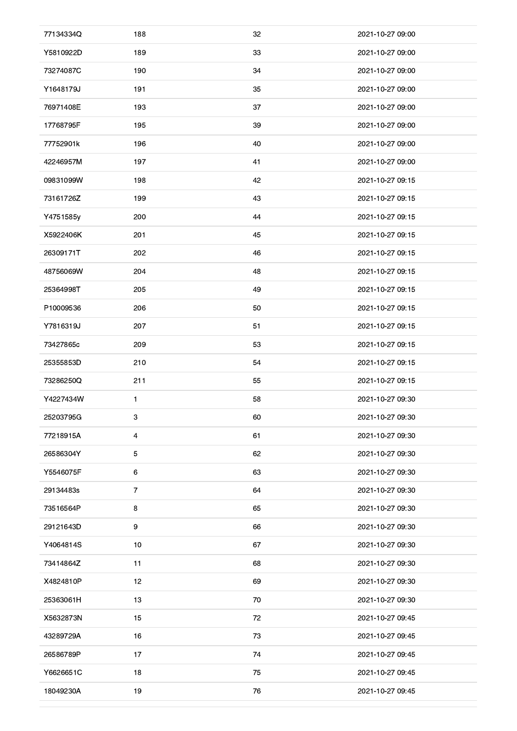| 77134334Q | 188            | 32 | 2021-10-27 09:00 |
|-----------|----------------|----|------------------|
| Y5810922D | 189            | 33 | 2021-10-27 09:00 |
| 73274087C | 190            | 34 | 2021-10-27 09:00 |
| Y1648179J | 191            | 35 | 2021-10-27 09:00 |
| 76971408E | 193            | 37 | 2021-10-27 09:00 |
| 17768795F | 195            | 39 | 2021-10-27 09:00 |
| 77752901k | 196            | 40 | 2021-10-27 09:00 |
| 42246957M | 197            | 41 | 2021-10-27 09:00 |
| 09831099W | 198            | 42 | 2021-10-27 09:15 |
| 73161726Z | 199            | 43 | 2021-10-27 09:15 |
| Y4751585y | 200            | 44 | 2021-10-27 09:15 |
| X5922406K | 201            | 45 | 2021-10-27 09:15 |
| 26309171T | 202            | 46 | 2021-10-27 09:15 |
| 48756069W | 204            | 48 | 2021-10-27 09:15 |
| 25364998T | 205            | 49 | 2021-10-27 09:15 |
| P10009536 | 206            | 50 | 2021-10-27 09:15 |
| Y7816319J | 207            | 51 | 2021-10-27 09:15 |
| 73427865c | 209            | 53 | 2021-10-27 09:15 |
| 25355853D | 210            | 54 | 2021-10-27 09:15 |
| 73286250Q | 211            | 55 | 2021-10-27 09:15 |
| Y4227434W | 1              | 58 | 2021-10-27 09:30 |
| 25203795G | 3              | 60 | 2021-10-27 09:30 |
| 77218915A | $\overline{4}$ | 61 | 2021-10-27 09:30 |
| 26586304Y | 5              | 62 | 2021-10-27 09:30 |
| Y5546075F | 6              | 63 | 2021-10-27 09:30 |
| 29134483s | $\overline{7}$ | 64 | 2021-10-27 09:30 |
| 73516564P | 8              | 65 | 2021-10-27 09:30 |
| 29121643D | 9              | 66 | 2021-10-27 09:30 |
| Y4064814S | 10             | 67 | 2021-10-27 09:30 |
| 73414864Z | 11             | 68 | 2021-10-27 09:30 |
| X4824810P | 12             | 69 | 2021-10-27 09:30 |
| 25363061H | 13             | 70 | 2021-10-27 09:30 |
| X5632873N | 15             | 72 | 2021-10-27 09:45 |
| 43289729A | 16             | 73 | 2021-10-27 09:45 |
| 26586789P | 17             | 74 | 2021-10-27 09:45 |
| Y6626651C | 18             | 75 | 2021-10-27 09:45 |
| 18049230A | 19             | 76 | 2021-10-27 09:45 |
|           |                |    |                  |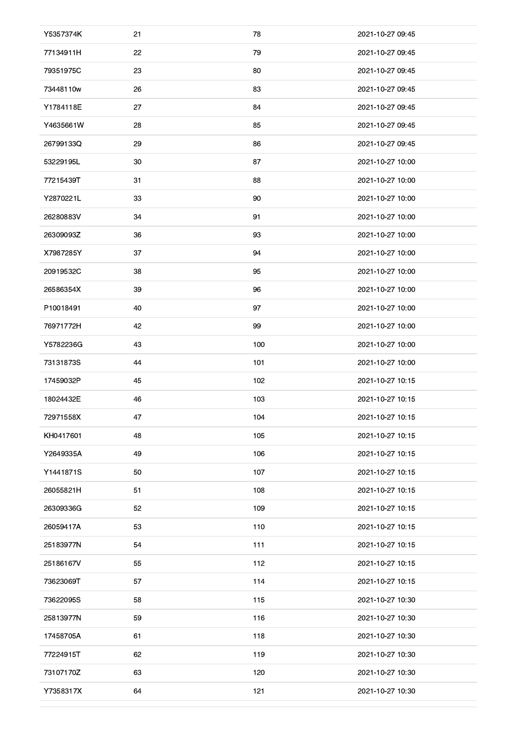| Y5357374K | 21 | 78  | 2021-10-27 09:45 |
|-----------|----|-----|------------------|
| 77134911H | 22 | 79  | 2021-10-27 09:45 |
| 79351975C | 23 | 80  | 2021-10-27 09:45 |
| 73448110w | 26 | 83  | 2021-10-27 09:45 |
| Y1784118E | 27 | 84  | 2021-10-27 09:45 |
| Y4635661W | 28 | 85  | 2021-10-27 09:45 |
| 26799133Q | 29 | 86  | 2021-10-27 09:45 |
| 53229195L | 30 | 87  | 2021-10-27 10:00 |
| 77215439T | 31 | 88  | 2021-10-27 10:00 |
| Y2870221L | 33 | 90  | 2021-10-27 10:00 |
| 26280883V | 34 | 91  | 2021-10-27 10:00 |
| 26309093Z | 36 | 93  | 2021-10-27 10:00 |
| X7987285Y | 37 | 94  | 2021-10-27 10:00 |
| 20919532C | 38 | 95  | 2021-10-27 10:00 |
| 26586354X | 39 | 96  | 2021-10-27 10:00 |
| P10018491 | 40 | 97  | 2021-10-27 10:00 |
| 76971772H | 42 | 99  | 2021-10-27 10:00 |
| Y5782236G | 43 | 100 | 2021-10-27 10:00 |
| 73131873S | 44 | 101 | 2021-10-27 10:00 |
| 17459032P | 45 | 102 | 2021-10-27 10:15 |
| 18024432E | 46 | 103 | 2021-10-27 10:15 |
| 72971558X | 47 | 104 | 2021-10-27 10:15 |
| KH0417601 | 48 | 105 | 2021-10-27 10:15 |
| Y2649335A | 49 | 106 | 2021-10-27 10:15 |
| Y1441871S | 50 | 107 | 2021-10-27 10:15 |
| 26055821H | 51 | 108 | 2021-10-27 10:15 |
| 26309336G | 52 | 109 | 2021-10-27 10:15 |
| 26059417A | 53 | 110 | 2021-10-27 10:15 |
| 25183977N | 54 | 111 | 2021-10-27 10:15 |
| 25186167V | 55 | 112 | 2021-10-27 10:15 |
| 73623069T | 57 | 114 | 2021-10-27 10:15 |
| 73622095S | 58 | 115 | 2021-10-27 10:30 |
| 25813977N | 59 | 116 | 2021-10-27 10:30 |
| 17458705A | 61 | 118 | 2021-10-27 10:30 |
| 77224915T | 62 | 119 | 2021-10-27 10:30 |
| 73107170Z | 63 | 120 | 2021-10-27 10:30 |
| Y7358317X | 64 | 121 | 2021-10-27 10:30 |
|           |    |     |                  |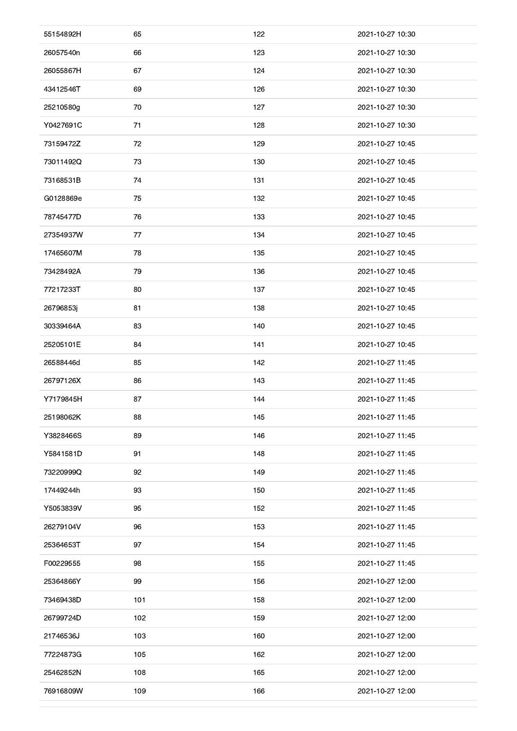| 55154892H | 65  | 122 | 2021-10-27 10:30 |
|-----------|-----|-----|------------------|
| 26057540n | 66  | 123 | 2021-10-27 10:30 |
| 26055867H | 67  | 124 | 2021-10-27 10:30 |
| 43412546T | 69  | 126 | 2021-10-27 10:30 |
| 25210580g | 70  | 127 | 2021-10-27 10:30 |
| Y0427691C | 71  | 128 | 2021-10-27 10:30 |
| 73159472Z | 72  | 129 | 2021-10-27 10:45 |
| 73011492Q | 73  | 130 | 2021-10-27 10:45 |
| 73168531B | 74  | 131 | 2021-10-27 10:45 |
| G0128869e | 75  | 132 | 2021-10-27 10:45 |
| 78745477D | 76  | 133 | 2021-10-27 10:45 |
| 27354937W | 77  | 134 | 2021-10-27 10:45 |
| 17465607M | 78  | 135 | 2021-10-27 10:45 |
| 73428492A | 79  | 136 | 2021-10-27 10:45 |
| 77217233T | 80  | 137 | 2021-10-27 10:45 |
| 26796853j | 81  | 138 | 2021-10-27 10:45 |
| 30339464A | 83  | 140 | 2021-10-27 10:45 |
| 25205101E | 84  | 141 | 2021-10-27 10:45 |
| 26588446d | 85  | 142 | 2021-10-27 11:45 |
| 26797126X | 86  | 143 | 2021-10-27 11:45 |
| Y7179845H | 87  | 144 | 2021-10-27 11:45 |
| 25198062K | 88  | 145 | 2021-10-27 11:45 |
| Y3828466S | 89  | 146 | 2021-10-27 11:45 |
| Y5841581D | 91  | 148 | 2021-10-27 11:45 |
| 73220999Q | 92  | 149 | 2021-10-27 11:45 |
| 17449244h | 93  | 150 | 2021-10-27 11:45 |
| Y5053839V | 95  | 152 | 2021-10-27 11:45 |
| 26279104V | 96  | 153 | 2021-10-27 11:45 |
| 25364653T | 97  | 154 | 2021-10-27 11:45 |
| F00229555 | 98  | 155 | 2021-10-27 11:45 |
| 25364866Y | 99  | 156 | 2021-10-27 12:00 |
| 73469438D | 101 | 158 | 2021-10-27 12:00 |
| 26799724D | 102 | 159 | 2021-10-27 12:00 |
| 21746536J | 103 | 160 | 2021-10-27 12:00 |
| 77224873G | 105 | 162 | 2021-10-27 12:00 |
| 25462852N | 108 | 165 | 2021-10-27 12:00 |
| 76916809W | 109 | 166 | 2021-10-27 12:00 |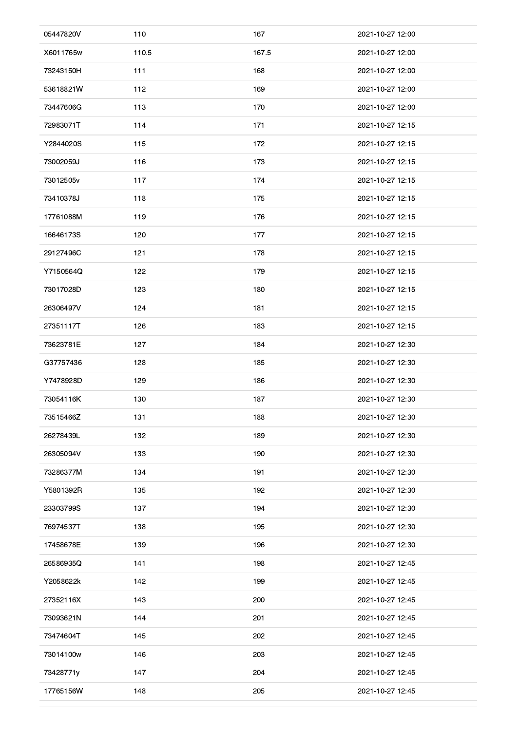| 05447820V | 110   | 167   | 2021-10-27 12:00 |
|-----------|-------|-------|------------------|
| X6011765w | 110.5 | 167.5 | 2021-10-27 12:00 |
| 73243150H | 111   | 168   | 2021-10-27 12:00 |
| 53618821W | 112   | 169   | 2021-10-27 12:00 |
| 73447606G | 113   | 170   | 2021-10-27 12:00 |
| 72983071T | 114   | 171   | 2021-10-27 12:15 |
| Y2844020S | 115   | 172   | 2021-10-27 12:15 |
| 73002059J | 116   | 173   | 2021-10-27 12:15 |
| 73012505v | 117   | 174   | 2021-10-27 12:15 |
| 73410378J | 118   | 175   | 2021-10-27 12:15 |
| 17761088M | 119   | 176   | 2021-10-27 12:15 |
| 16646173S | 120   | 177   | 2021-10-27 12:15 |
| 29127496C | 121   | 178   | 2021-10-27 12:15 |
| Y7150564Q | 122   | 179   | 2021-10-27 12:15 |
| 73017028D | 123   | 180   | 2021-10-27 12:15 |
| 26306497V | 124   | 181   | 2021-10-27 12:15 |
| 27351117T | 126   | 183   | 2021-10-27 12:15 |
| 73623781E | 127   | 184   | 2021-10-27 12:30 |
| G37757436 | 128   | 185   | 2021-10-27 12:30 |
| Y7478928D | 129   | 186   | 2021-10-27 12:30 |
| 73054116K | 130   | 187   | 2021-10-27 12:30 |
| 73515466Z | 131   | 188   | 2021-10-27 12:30 |
| 26278439L | 132   | 189   | 2021-10-27 12:30 |
| 26305094V | 133   | 190   | 2021-10-27 12:30 |
| 73286377M | 134   | 191   | 2021-10-27 12:30 |
| Y5801392R | 135   | 192   | 2021-10-27 12:30 |
| 23303799S | 137   | 194   | 2021-10-27 12:30 |
| 76974537T | 138   | 195   | 2021-10-27 12:30 |
| 17458678E | 139   | 196   | 2021-10-27 12:30 |
| 26586935Q | 141   | 198   | 2021-10-27 12:45 |
| Y2058622k | 142   | 199   | 2021-10-27 12:45 |
| 27352116X | 143   | 200   | 2021-10-27 12:45 |
| 73093621N | 144   | 201   | 2021-10-27 12:45 |
| 73474604T | 145   | 202   | 2021-10-27 12:45 |
| 73014100w | 146   | 203   | 2021-10-27 12:45 |
| 73428771y | 147   | 204   | 2021-10-27 12:45 |
| 17765156W | 148   | 205   | 2021-10-27 12:45 |